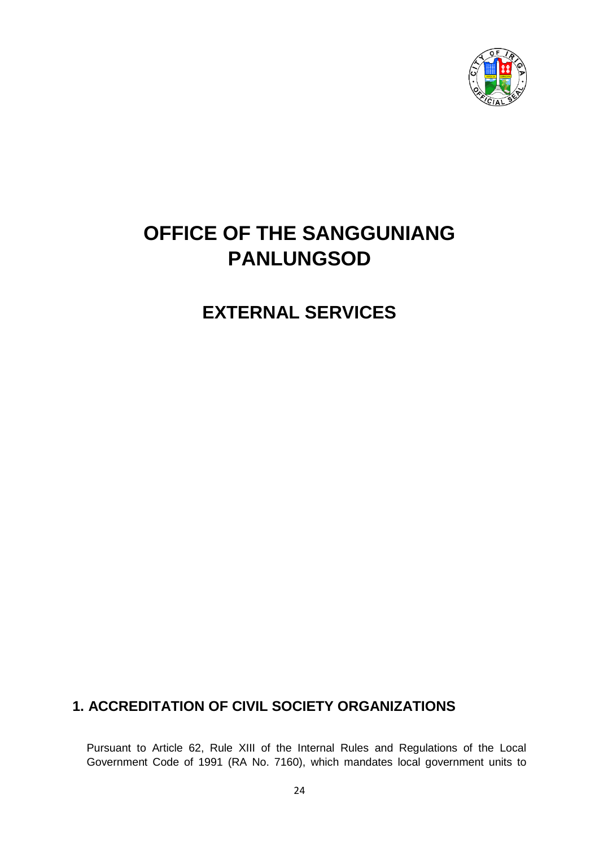

# **OFFICE OF THE SANGGUNIANG PANLUNGSOD**

**EXTERNAL SERVICES**

# **1. ACCREDITATION OF CIVIL SOCIETY ORGANIZATIONS**

Pursuant to Article 62, Rule XIII of the Internal Rules and Regulations of the Local Government Code of 1991 (RA No. 7160), which mandates local government units to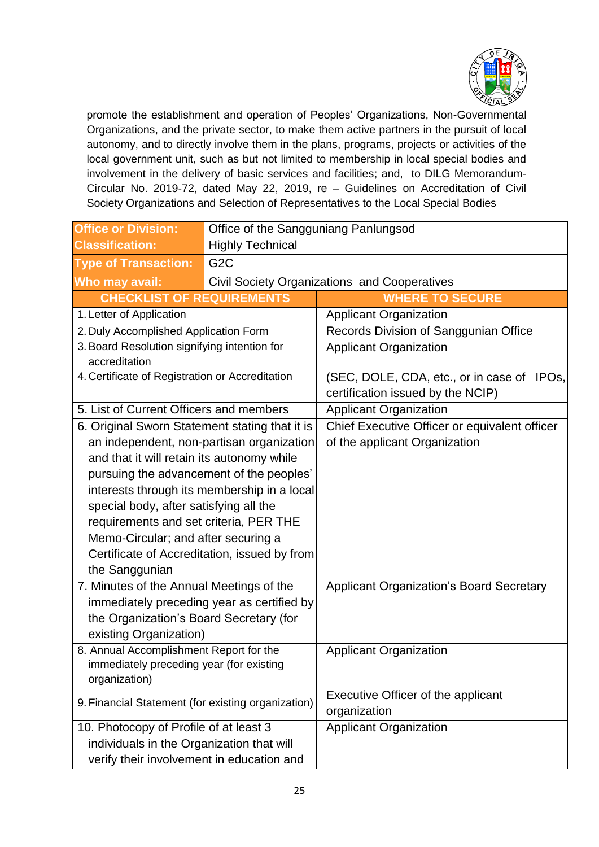

promote the establishment and operation of Peoples' Organizations, Non-Governmental Organizations, and the private sector, to make them active partners in the pursuit of local autonomy, and to directly involve them in the plans, programs, projects or activities of the local government unit, such as but not limited to membership in local special bodies and involvement in the delivery of basic services and facilities; and, to DILG Memorandum-Circular No. 2019-72, dated May 22, 2019, re – Guidelines on Accreditation of Civil Society Organizations and Selection of Representatives to the Local Special Bodies

| <b>Office or Division:</b>                                                          | Office of the Sangguniang Panlungsod |                                                 |  |  |
|-------------------------------------------------------------------------------------|--------------------------------------|-------------------------------------------------|--|--|
| <b>Classification:</b>                                                              | <b>Highly Technical</b>              |                                                 |  |  |
| <b>Type of Transaction:</b>                                                         | G <sub>2</sub> C                     |                                                 |  |  |
| Who may avail:                                                                      |                                      | Civil Society Organizations and Cooperatives    |  |  |
| <b>CHECKLIST OF REQUIREMENTS</b>                                                    |                                      | <b>WHERE TO SECURE</b>                          |  |  |
| 1. Letter of Application                                                            |                                      | <b>Applicant Organization</b>                   |  |  |
| 2. Duly Accomplished Application Form                                               |                                      | Records Division of Sanggunian Office           |  |  |
| 3. Board Resolution signifying intention for<br>accreditation                       |                                      | <b>Applicant Organization</b>                   |  |  |
| 4. Certificate of Registration or Accreditation                                     |                                      | (SEC, DOLE, CDA, etc., or in case of IPOs,      |  |  |
|                                                                                     |                                      | certification issued by the NCIP)               |  |  |
| 5. List of Current Officers and members                                             |                                      | <b>Applicant Organization</b>                   |  |  |
| 6. Original Sworn Statement stating that it is                                      |                                      | Chief Executive Officer or equivalent officer   |  |  |
| an independent, non-partisan organization                                           |                                      | of the applicant Organization                   |  |  |
| and that it will retain its autonomy while                                          |                                      |                                                 |  |  |
| pursuing the advancement of the peoples'                                            |                                      |                                                 |  |  |
| interests through its membership in a local                                         |                                      |                                                 |  |  |
| special body, after satisfying all the                                              |                                      |                                                 |  |  |
| requirements and set criteria, PER THE                                              |                                      |                                                 |  |  |
| Memo-Circular; and after securing a                                                 |                                      |                                                 |  |  |
| Certificate of Accreditation, issued by from                                        |                                      |                                                 |  |  |
| the Sanggunian                                                                      |                                      |                                                 |  |  |
| 7. Minutes of the Annual Meetings of the                                            |                                      | <b>Applicant Organization's Board Secretary</b> |  |  |
| immediately preceding year as certified by                                          |                                      |                                                 |  |  |
| the Organization's Board Secretary (for                                             |                                      |                                                 |  |  |
| existing Organization)                                                              |                                      |                                                 |  |  |
| 8. Annual Accomplishment Report for the<br>immediately preceding year (for existing |                                      | <b>Applicant Organization</b>                   |  |  |
| organization)                                                                       |                                      |                                                 |  |  |
|                                                                                     |                                      | Executive Officer of the applicant              |  |  |
| 9. Financial Statement (for existing organization)                                  |                                      | organization                                    |  |  |
| 10. Photocopy of Profile of at least 3                                              |                                      | <b>Applicant Organization</b>                   |  |  |
| individuals in the Organization that will                                           |                                      |                                                 |  |  |
| verify their involvement in education and                                           |                                      |                                                 |  |  |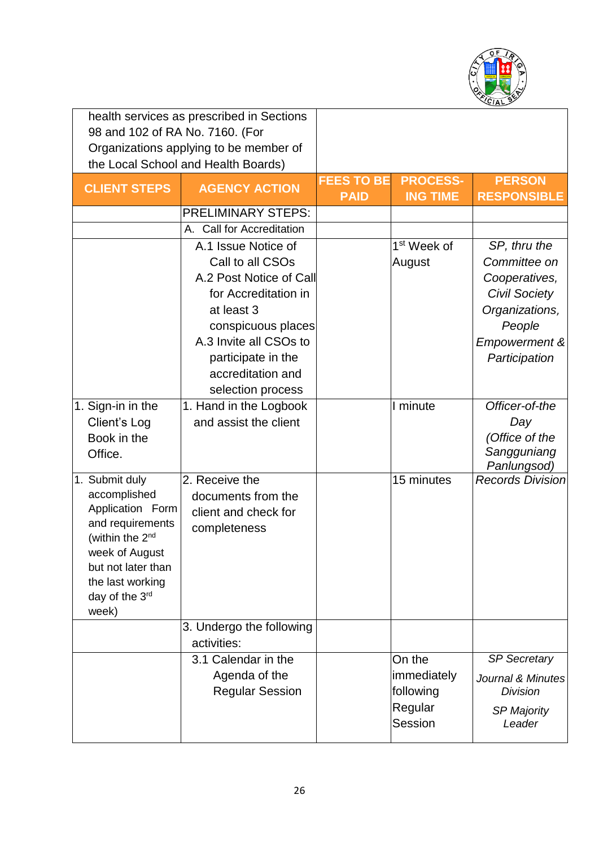

| health services as prescribed in Sections |                                        |                   |                         |                          |
|-------------------------------------------|----------------------------------------|-------------------|-------------------------|--------------------------|
| 98 and 102 of RA No. 7160. (For           |                                        |                   |                         |                          |
|                                           | Organizations applying to be member of |                   |                         |                          |
|                                           | the Local School and Health Boards)    |                   |                         |                          |
| <b>CLIENT STEPS</b>                       | <b>AGENCY ACTION</b>                   | <b>FEES TO BE</b> | <b>PROCESS-</b>         | <b>PERSON</b>            |
|                                           |                                        | <b>PAID</b>       | <b>ING TIME</b>         | <b>RESPONSIBLE</b>       |
|                                           | <b>PRELIMINARY STEPS:</b>              |                   |                         |                          |
|                                           | A. Call for Accreditation              |                   |                         |                          |
|                                           | A.1 Issue Notice of                    |                   | 1 <sup>st</sup> Week of | SP, thru the             |
|                                           | Call to all CSOs                       |                   | August                  | Committee on             |
|                                           | A.2 Post Notice of Call                |                   |                         | Cooperatives,            |
|                                           | for Accreditation in                   |                   |                         | <b>Civil Society</b>     |
|                                           | at least 3                             |                   |                         | Organizations,           |
|                                           | conspicuous places                     |                   |                         | People                   |
|                                           | A.3 Invite all CSOs to                 |                   |                         | <b>Empowerment &amp;</b> |
|                                           | participate in the                     |                   |                         | Participation            |
|                                           | accreditation and                      |                   |                         |                          |
|                                           | selection process                      |                   |                         |                          |
| 1. Sign-in in the                         | 1. Hand in the Logbook                 |                   | $\overline{I}$ minute   | Officer-of-the           |
| Client's Log                              | and assist the client                  |                   |                         | Day                      |
| Book in the                               |                                        |                   |                         | (Office of the           |
| Office.                                   |                                        |                   |                         | Sangguniang              |
|                                           |                                        |                   |                         | Panlungsod)              |
| 1. Submit duly<br>accomplished            | 2. Receive the                         |                   | 15 minutes              | <b>Records Division</b>  |
| Application Form                          | documents from the                     |                   |                         |                          |
| and requirements                          | client and check for                   |                   |                         |                          |
| (within the 2 <sup>nd</sup>               | completeness                           |                   |                         |                          |
| week of August                            |                                        |                   |                         |                          |
| but not later than                        |                                        |                   |                         |                          |
| the last working                          |                                        |                   |                         |                          |
| day of the 3rd                            |                                        |                   |                         |                          |
| week)                                     |                                        |                   |                         |                          |
|                                           | 3. Undergo the following               |                   |                         |                          |
|                                           | activities:                            |                   |                         |                          |
|                                           | 3.1 Calendar in the                    |                   | On the                  | <b>SP Secretary</b>      |
|                                           | Agenda of the                          |                   | immediately             | Journal & Minutes        |
|                                           | <b>Regular Session</b>                 |                   | following               | <b>Division</b>          |
|                                           |                                        |                   | Regular                 | <b>SP Majority</b>       |
|                                           |                                        |                   | Session                 | Leader                   |
|                                           |                                        |                   |                         |                          |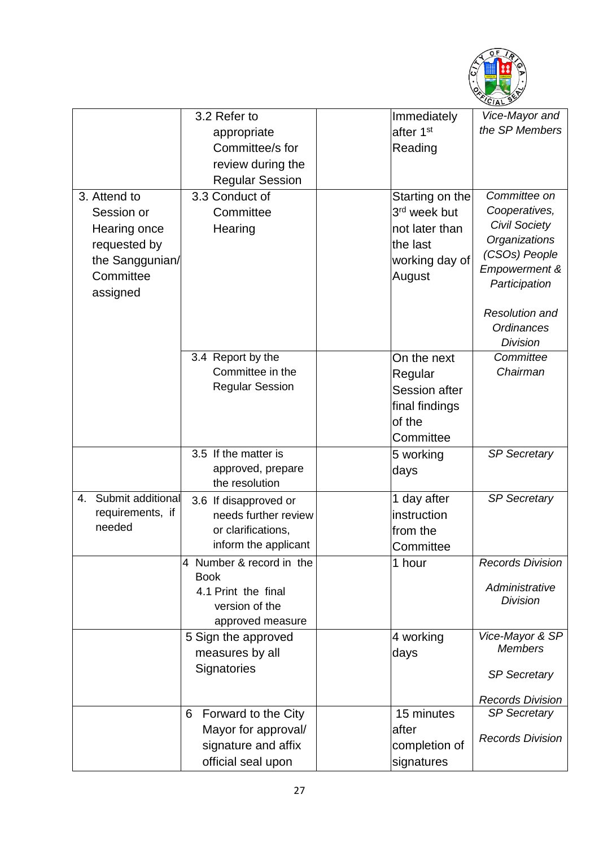

|                                                                                                        | 3.2 Refer to                                                                                         | Immediately                                                                                           | Vice-Mayor and                                                                                                                                                                             |
|--------------------------------------------------------------------------------------------------------|------------------------------------------------------------------------------------------------------|-------------------------------------------------------------------------------------------------------|--------------------------------------------------------------------------------------------------------------------------------------------------------------------------------------------|
|                                                                                                        | appropriate                                                                                          | after 1 <sup>st</sup>                                                                                 | the SP Members                                                                                                                                                                             |
|                                                                                                        | Committee/s for                                                                                      | Reading                                                                                               |                                                                                                                                                                                            |
|                                                                                                        | review during the                                                                                    |                                                                                                       |                                                                                                                                                                                            |
|                                                                                                        | <b>Regular Session</b>                                                                               |                                                                                                       |                                                                                                                                                                                            |
| 3. Attend to<br>Session or<br>Hearing once<br>requested by<br>the Sanggunian/<br>Committee<br>assigned | 3.3 Conduct of<br>Committee<br>Hearing                                                               | Starting on the<br>3 <sup>rd</sup> week but<br>not later than<br>the last<br>working day of<br>August | Committee on<br>Cooperatives,<br><b>Civil Society</b><br>Organizations<br>(CSOs) People<br>Empowerment &<br>Participation<br><b>Resolution and</b><br><b>Ordinances</b><br><b>Division</b> |
|                                                                                                        | 3.4 Report by the<br>Committee in the<br><b>Regular Session</b>                                      | On the next<br>Regular<br><b>Session after</b><br>final findings<br>of the<br>Committee               | Committee<br>Chairman                                                                                                                                                                      |
|                                                                                                        | 3.5 If the matter is<br>approved, prepare<br>the resolution                                          | 5 working<br>days                                                                                     | <b>SP Secretary</b>                                                                                                                                                                        |
| Submit additional<br>4.<br>requirements, if<br>needed                                                  | 3.6 If disapproved or<br>needs further review<br>or clarifications,<br>inform the applicant          | 1 day after<br>instruction<br>from the<br>Committee                                                   | <b>SP Secretary</b>                                                                                                                                                                        |
|                                                                                                        | 4 Number & record in the<br><b>Book</b><br>4.1 Print the final<br>version of the<br>approved measure | 1 hour                                                                                                | <b>Records Division</b><br>Administrative<br><b>Division</b>                                                                                                                               |
|                                                                                                        | 5 Sign the approved<br>measures by all<br>Signatories                                                | 4 working<br>days                                                                                     | Vice-Mayor & SP<br><b>Members</b><br><b>SP Secretary</b>                                                                                                                                   |
|                                                                                                        |                                                                                                      |                                                                                                       | <b>Records Division</b>                                                                                                                                                                    |
|                                                                                                        | Forward to the City<br>6                                                                             | 15 minutes                                                                                            | <b>SP Secretary</b>                                                                                                                                                                        |
|                                                                                                        | Mayor for approval/<br>signature and affix<br>official seal upon                                     | after<br>completion of<br>signatures                                                                  | <b>Records Division</b>                                                                                                                                                                    |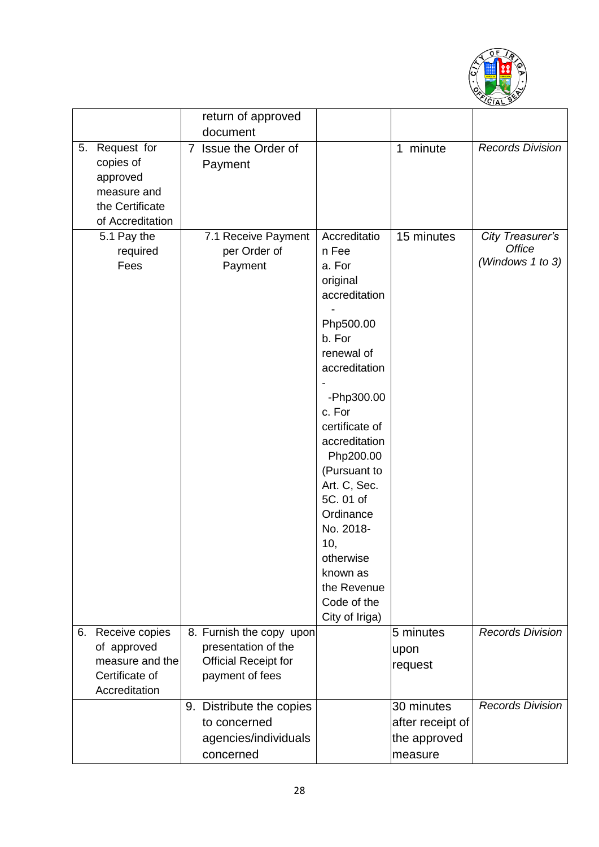

|    |                   | return of approved          |                      |                  |                         |
|----|-------------------|-----------------------------|----------------------|------------------|-------------------------|
|    |                   | document                    |                      |                  |                         |
| 5. | Request for       | 7 Issue the Order of        |                      | 1 minute         | <b>Records Division</b> |
|    | copies of         | Payment                     |                      |                  |                         |
|    | approved          |                             |                      |                  |                         |
|    | measure and       |                             |                      |                  |                         |
|    | the Certificate   |                             |                      |                  |                         |
|    | of Accreditation  |                             |                      |                  |                         |
|    | 5.1 Pay the       | 7.1 Receive Payment         | Accreditatio         | 15 minutes       | City Treasurer's        |
|    | required          | per Order of                | n Fee                |                  | Office                  |
|    | Fees              | Payment                     | a. For               |                  | (Windows 1 to 3)        |
|    |                   |                             | original             |                  |                         |
|    |                   |                             | accreditation        |                  |                         |
|    |                   |                             |                      |                  |                         |
|    |                   |                             | Php500.00            |                  |                         |
|    |                   |                             | b. For               |                  |                         |
|    |                   |                             | renewal of           |                  |                         |
|    |                   |                             | accreditation        |                  |                         |
|    |                   |                             |                      |                  |                         |
|    |                   |                             | -Php300.00<br>c. For |                  |                         |
|    |                   |                             | certificate of       |                  |                         |
|    |                   |                             | accreditation        |                  |                         |
|    |                   |                             | Php200.00            |                  |                         |
|    |                   |                             | (Pursuant to         |                  |                         |
|    |                   |                             | Art. C, Sec.         |                  |                         |
|    |                   |                             | 5C. 01 of            |                  |                         |
|    |                   |                             | Ordinance            |                  |                         |
|    |                   |                             | No. 2018-            |                  |                         |
|    |                   |                             | 10,                  |                  |                         |
|    |                   |                             | otherwise            |                  |                         |
|    |                   |                             | known as             |                  |                         |
|    |                   |                             | the Revenue          |                  |                         |
|    |                   |                             | Code of the          |                  |                         |
|    |                   |                             | City of Iriga)       |                  |                         |
|    | 6. Receive copies | 8. Furnish the copy upon    |                      | 5 minutes        | <b>Records Division</b> |
|    | of approved       | presentation of the         |                      | upon             |                         |
|    | measure and the   | <b>Official Receipt for</b> |                      | request          |                         |
|    | Certificate of    | payment of fees             |                      |                  |                         |
|    | Accreditation     |                             |                      |                  |                         |
|    |                   | 9. Distribute the copies    |                      | 30 minutes       | <b>Records Division</b> |
|    |                   | to concerned                |                      | after receipt of |                         |
|    |                   | agencies/individuals        |                      | the approved     |                         |
|    |                   | concerned                   |                      | measure          |                         |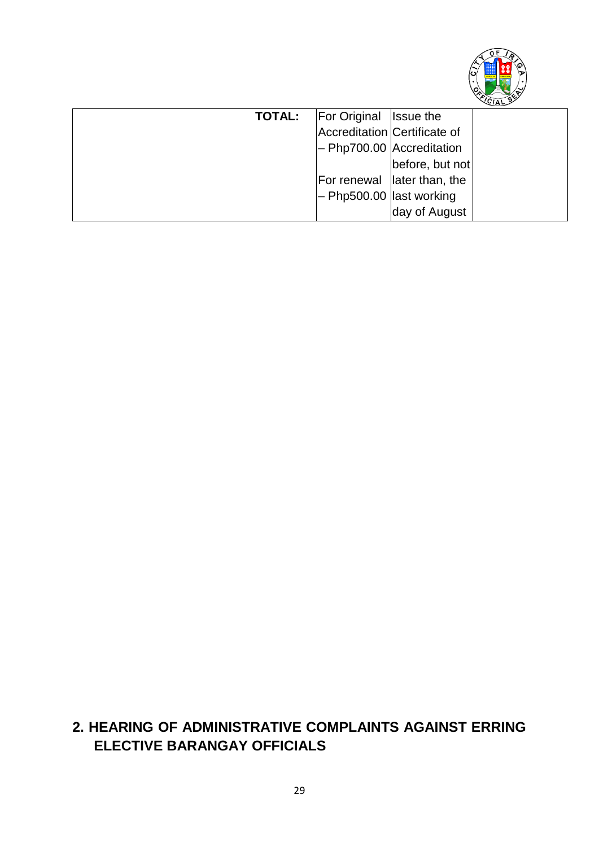

| <b>TOTAL:</b> | <b>For Original Issue the</b> |                              |  |
|---------------|-------------------------------|------------------------------|--|
|               |                               | Accreditation Certificate of |  |
|               |                               | - Php700.00 Accreditation    |  |
|               |                               | before, but not              |  |
|               |                               | For renewal later than, the  |  |
|               |                               | $-$ Php500.00 last working   |  |
|               |                               | day of August                |  |

# **2. HEARING OF ADMINISTRATIVE COMPLAINTS AGAINST ERRING ELECTIVE BARANGAY OFFICIALS**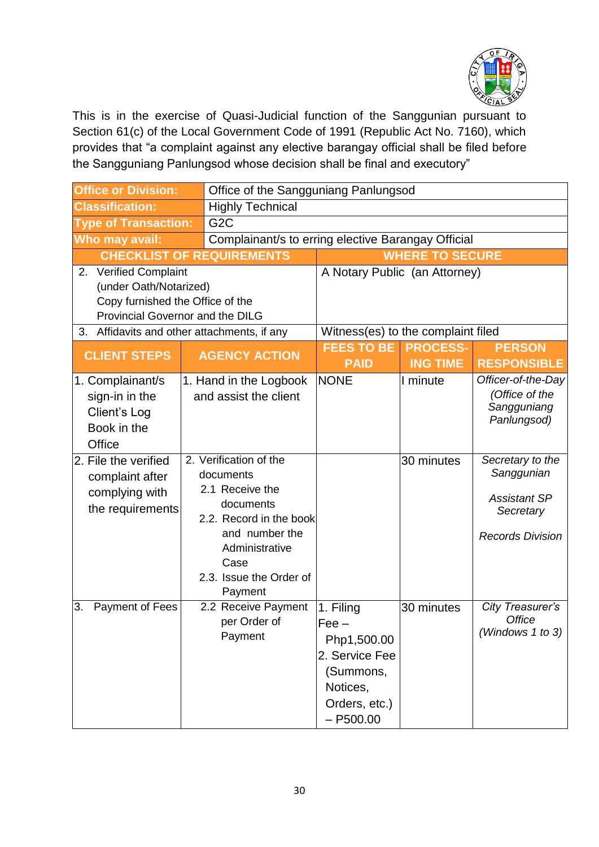

This is in the exercise of Quasi-Judicial function of the Sanggunian pursuant to Section 61(c) of the Local Government Code of 1991 (Republic Act No. 7160), which provides that "a complaint against any elective barangay official shall be filed before the Sangguniang Panlungsod whose decision shall be final and executory"

| <b>Office or Division:</b>                                                                                                                                                       | Office of the Sangguniang Panlungsod                                                                                                                                             |                                                                                                                |                        |                                                                                               |
|----------------------------------------------------------------------------------------------------------------------------------------------------------------------------------|----------------------------------------------------------------------------------------------------------------------------------------------------------------------------------|----------------------------------------------------------------------------------------------------------------|------------------------|-----------------------------------------------------------------------------------------------|
| <b>Classification:</b>                                                                                                                                                           | <b>Highly Technical</b>                                                                                                                                                          |                                                                                                                |                        |                                                                                               |
| <b>Type of Transaction:</b>                                                                                                                                                      | G <sub>2</sub> C                                                                                                                                                                 |                                                                                                                |                        |                                                                                               |
| Who may avail:                                                                                                                                                                   | Complainant/s to erring elective Barangay Official                                                                                                                               |                                                                                                                |                        |                                                                                               |
|                                                                                                                                                                                  | <b>CHECKLIST OF REQUIREMENTS</b>                                                                                                                                                 |                                                                                                                | <b>WHERE TO SECURE</b> |                                                                                               |
| <b>Verified Complaint</b><br>2.<br>(under Oath/Notarized)<br>Copy furnished the Office of the<br>Provincial Governor and the DILG<br>3. Affidavits and other attachments, if any |                                                                                                                                                                                  | A Notary Public (an Attorney)<br>Witness(es) to the complaint filed                                            |                        |                                                                                               |
|                                                                                                                                                                                  |                                                                                                                                                                                  | <b>FEES TO BE</b>                                                                                              | <b>PROCESS-</b>        | <b>PERSON</b>                                                                                 |
| <b>CLIENT STEPS</b>                                                                                                                                                              | <b>AGENCY ACTION</b>                                                                                                                                                             | <b>PAID</b>                                                                                                    | <b>ING TIME</b>        | <b>RESPONSIBLE</b>                                                                            |
| 1. Complainant/s<br>sign-in in the<br>Client's Log<br>Book in the<br>Office                                                                                                      | 1. Hand in the Logbook<br>and assist the client                                                                                                                                  | <b>NONE</b>                                                                                                    | I minute               | Officer-of-the-Day<br>(Office of the<br>Sangguniang<br>Panlungsod)                            |
| 2. File the verified<br>complaint after<br>complying with<br>the requirements                                                                                                    | 2. Verification of the<br>documents<br>2.1 Receive the<br>documents<br>2.2. Record in the book<br>and number the<br>Administrative<br>Case<br>2.3. Issue the Order of<br>Payment |                                                                                                                | 30 minutes             | Secretary to the<br>Sanggunian<br><b>Assistant SP</b><br>Secretary<br><b>Records Division</b> |
| 3.<br>Payment of Fees                                                                                                                                                            | 2.2 Receive Payment<br>per Order of<br>Payment                                                                                                                                   | 1. Filing<br>$Fee -$<br>Php1,500.00<br>2. Service Fee<br>(Summons,<br>Notices,<br>Orders, etc.)<br>$- P500.00$ | 30 minutes             | City Treasurer's<br><b>Office</b><br>(Windows $1$ to $3$ )                                    |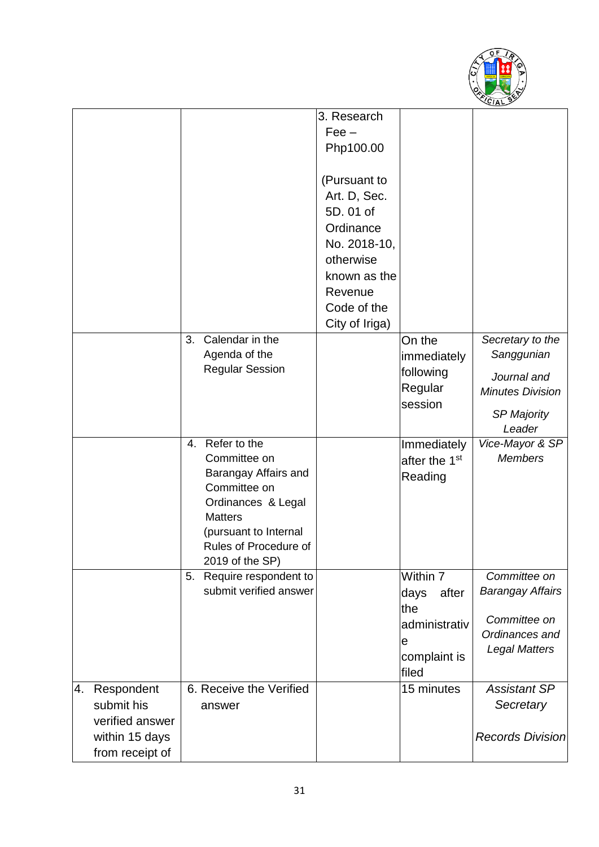

|    |                                                               |                                                                                                                                                                                         | 3. Research                                                                                        |                                                                                 |                                                                                                          |
|----|---------------------------------------------------------------|-----------------------------------------------------------------------------------------------------------------------------------------------------------------------------------------|----------------------------------------------------------------------------------------------------|---------------------------------------------------------------------------------|----------------------------------------------------------------------------------------------------------|
|    |                                                               |                                                                                                                                                                                         | $Fee -$                                                                                            |                                                                                 |                                                                                                          |
|    |                                                               |                                                                                                                                                                                         | Php100.00                                                                                          |                                                                                 |                                                                                                          |
|    |                                                               |                                                                                                                                                                                         | (Pursuant to<br>Art. D, Sec.<br>5D.01 of<br>Ordinance<br>No. 2018-10,<br>otherwise<br>known as the |                                                                                 |                                                                                                          |
|    |                                                               |                                                                                                                                                                                         | Revenue                                                                                            |                                                                                 |                                                                                                          |
|    |                                                               |                                                                                                                                                                                         | Code of the                                                                                        |                                                                                 |                                                                                                          |
|    |                                                               |                                                                                                                                                                                         | City of Iriga)                                                                                     |                                                                                 |                                                                                                          |
|    |                                                               | Calendar in the<br>3.<br>Agenda of the<br><b>Regular Session</b>                                                                                                                        |                                                                                                    | On the<br>immediately<br>following<br>Regular<br>session                        | Secretary to the<br>Sanggunian<br>Journal and<br><b>Minutes Division</b><br><b>SP Majority</b><br>Leader |
|    |                                                               | Refer to the<br>4.<br>Committee on<br>Barangay Affairs and<br>Committee on<br>Ordinances & Legal<br><b>Matters</b><br>(pursuant to Internal<br>Rules of Procedure of<br>2019 of the SP) |                                                                                                    | Immediately<br>after the 1 <sup>st</sup><br>Reading                             | Vice-Mayor & SP<br><b>Members</b>                                                                        |
|    |                                                               | Require respondent to<br>5.<br>submit verified answer                                                                                                                                   |                                                                                                    | Within 7<br>days<br>after<br>the<br>administrativ<br>e<br>complaint is<br>filed | Committee on<br><b>Barangay Affairs</b><br>Committee on<br>Ordinances and<br><b>Legal Matters</b>        |
| 4. | Respondent<br>submit his<br>verified answer<br>within 15 days | 6. Receive the Verified<br>answer                                                                                                                                                       |                                                                                                    | 15 minutes                                                                      | <b>Assistant SP</b><br>Secretary<br><b>Records Division</b>                                              |
|    | from receipt of                                               |                                                                                                                                                                                         |                                                                                                    |                                                                                 |                                                                                                          |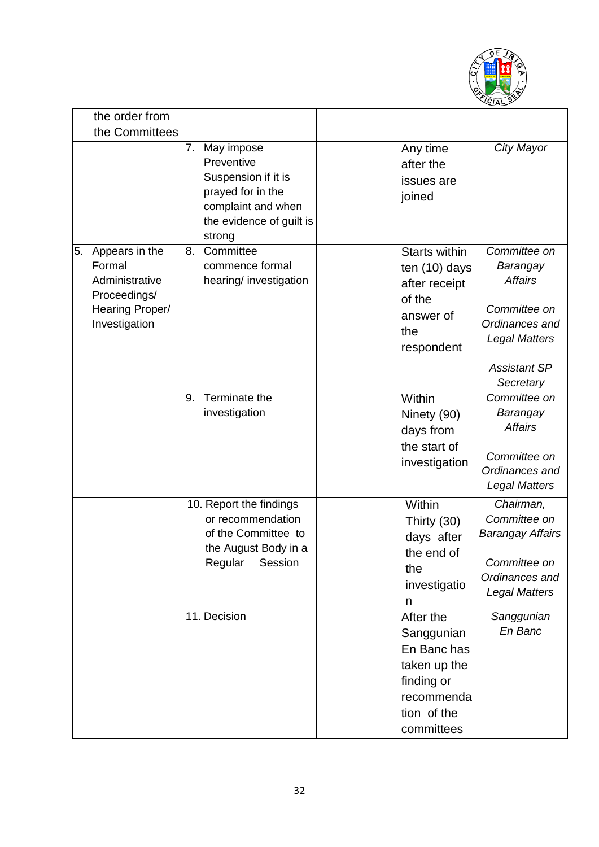

|    | the order from           |    |                                                                                                                                  |                                               |                                        |
|----|--------------------------|----|----------------------------------------------------------------------------------------------------------------------------------|-----------------------------------------------|----------------------------------------|
|    | the Committees           |    |                                                                                                                                  |                                               |                                        |
|    |                          | 7. | May impose<br>Preventive<br>Suspension if it is<br>prayed for in the<br>complaint and when<br>the evidence of guilt is<br>strong | Any time<br>after the<br>issues are<br>joined | City Mayor                             |
| 5. | Appears in the           | 8. | Committee                                                                                                                        | <b>Starts within</b>                          | Committee on                           |
|    | Formal<br>Administrative |    | commence formal                                                                                                                  | ten (10) days                                 | Barangay<br><b>Affairs</b>             |
|    | Proceedings/             |    | hearing/ investigation                                                                                                           | after receipt<br>of the                       |                                        |
|    | Hearing Proper/          |    |                                                                                                                                  | answer of                                     | Committee on                           |
|    | Investigation            |    |                                                                                                                                  | the                                           | Ordinances and                         |
|    |                          |    |                                                                                                                                  | respondent                                    | <b>Legal Matters</b>                   |
|    |                          |    |                                                                                                                                  |                                               | <b>Assistant SP</b>                    |
|    |                          |    |                                                                                                                                  |                                               | Secretary                              |
|    |                          | 9. | Terminate the                                                                                                                    | Within                                        | Committee on                           |
|    |                          |    | investigation                                                                                                                    | Ninety (90)                                   | Barangay<br><b>Affairs</b>             |
|    |                          |    |                                                                                                                                  | days from<br>the start of                     |                                        |
|    |                          |    |                                                                                                                                  | investigation                                 | Committee on                           |
|    |                          |    |                                                                                                                                  |                                               | Ordinances and                         |
|    |                          |    |                                                                                                                                  | Within                                        | <b>Legal Matters</b>                   |
|    |                          |    | 10. Report the findings<br>or recommendation                                                                                     | Thirty (30)                                   | Chairman,<br>Committee on              |
|    |                          |    | of the Committee to                                                                                                              | days after                                    | <b>Barangay Affairs</b>                |
|    |                          |    | the August Body in a                                                                                                             | the end of                                    |                                        |
|    |                          |    | Regular<br>Session                                                                                                               | the                                           | Committee on                           |
|    |                          |    |                                                                                                                                  | investigatio                                  | Ordinances and<br><b>Legal Matters</b> |
|    |                          |    |                                                                                                                                  | n                                             |                                        |
|    |                          |    | 11. Decision                                                                                                                     | After the                                     | Sanggunian<br>En Banc                  |
|    |                          |    |                                                                                                                                  | Sanggunian                                    |                                        |
|    |                          |    |                                                                                                                                  | En Banc has<br>taken up the                   |                                        |
|    |                          |    |                                                                                                                                  | finding or                                    |                                        |
|    |                          |    |                                                                                                                                  | recommenda                                    |                                        |
|    |                          |    |                                                                                                                                  | tion of the                                   |                                        |
|    |                          |    |                                                                                                                                  | committees                                    |                                        |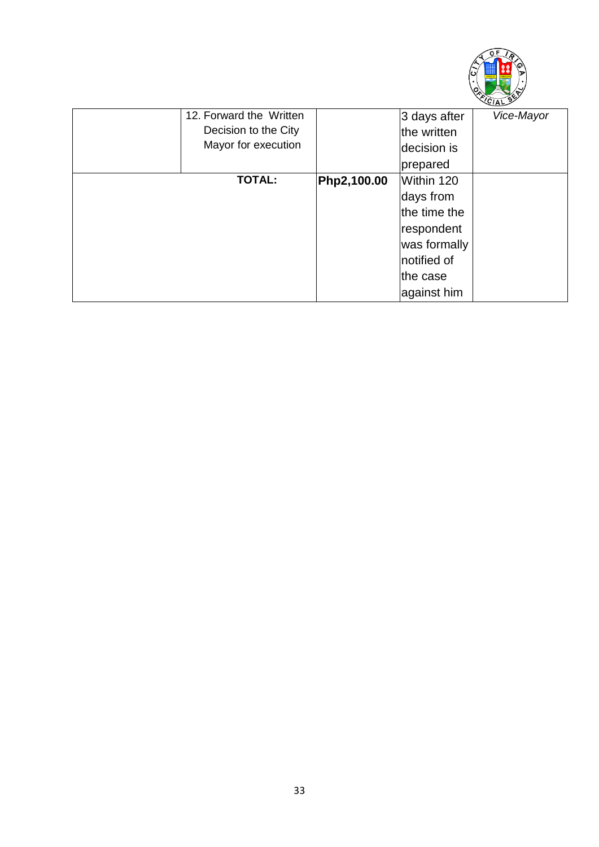

| 12. Forward the Written |                     | 3 days after | Vice-Mayor |
|-------------------------|---------------------|--------------|------------|
| Decision to the City    |                     | the written  |            |
|                         |                     | decision is  |            |
|                         |                     | prepared     |            |
| <b>TOTAL:</b>           | Php2,100.00         | Within 120   |            |
|                         |                     | days from    |            |
|                         |                     | the time the |            |
|                         |                     | respondent   |            |
|                         |                     | was formally |            |
|                         |                     | notified of  |            |
|                         |                     | the case     |            |
|                         |                     | against him  |            |
|                         | Mayor for execution |              |            |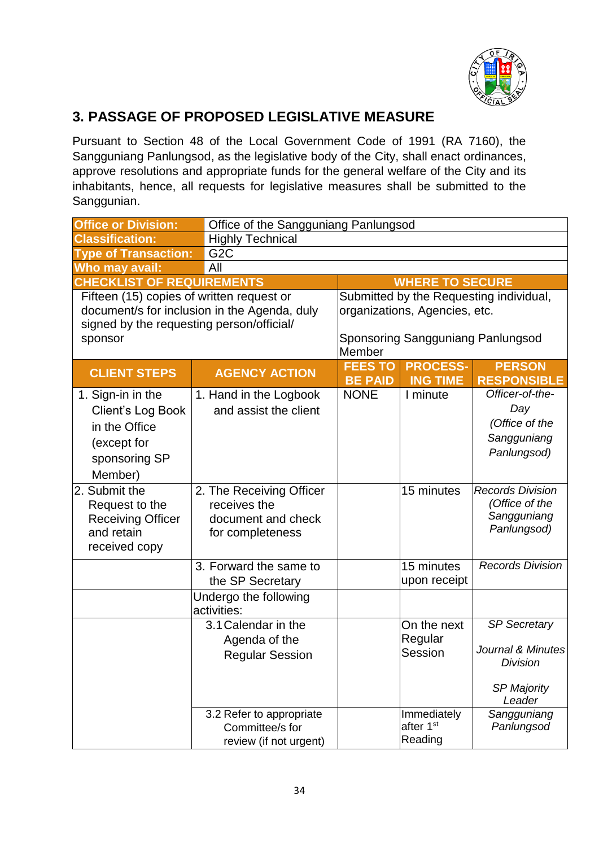

#### **3. PASSAGE OF PROPOSED LEGISLATIVE MEASURE**

Pursuant to Section 48 of the Local Government Code of 1991 (RA 7160), the Sangguniang Panlungsod, as the legislative body of the City, shall enact ordinances, approve resolutions and appropriate funds for the general welfare of the City and its inhabitants, hence, all requests for legislative measures shall be submitted to the Sanggunian.

| <b>Office or Division:</b>                                                                                                                        | Office of the Sangguniang Panlungsod                                               |                                                                                                                         |                                                 |                                                                                             |  |
|---------------------------------------------------------------------------------------------------------------------------------------------------|------------------------------------------------------------------------------------|-------------------------------------------------------------------------------------------------------------------------|-------------------------------------------------|---------------------------------------------------------------------------------------------|--|
| <b>Classification:</b>                                                                                                                            | <b>Highly Technical</b>                                                            |                                                                                                                         |                                                 |                                                                                             |  |
| <b>Type of Transaction:</b>                                                                                                                       | G <sub>2</sub> C                                                                   |                                                                                                                         |                                                 |                                                                                             |  |
| Who may avail:                                                                                                                                    | All                                                                                |                                                                                                                         |                                                 |                                                                                             |  |
| <b>CHECKLIST OF REQUIREMENTS</b>                                                                                                                  |                                                                                    |                                                                                                                         | <b>WHERE TO SECURE</b>                          |                                                                                             |  |
| Fifteen (15) copies of written request or<br>document/s for inclusion in the Agenda, duly<br>signed by the requesting person/official/<br>sponsor |                                                                                    | Submitted by the Requesting individual,<br>organizations, Agencies, etc.<br>Sponsoring Sangguniang Panlungsod<br>Member |                                                 |                                                                                             |  |
| <b>CLIENT STEPS</b>                                                                                                                               | <b>AGENCY ACTION</b>                                                               | <b>FEES TO</b><br><b>BE PAID</b>                                                                                        | <b>PROCESS-</b><br><b>ING TIME</b>              | <b>PERSON</b><br><b>RESPONSIBLE</b>                                                         |  |
| 1. Sign-in in the<br>Client's Log Book<br>in the Office<br>(except for<br>sponsoring SP<br>Member)                                                | 1. Hand in the Logbook<br>and assist the client                                    | <b>NONE</b>                                                                                                             | I minute                                        | Officer-of-the-<br>Day<br>(Office of the<br>Sangguniang<br>Panlungsod)                      |  |
| 2. Submit the<br>Request to the<br><b>Receiving Officer</b><br>and retain<br>received copy                                                        | 2. The Receiving Officer<br>receives the<br>document and check<br>for completeness |                                                                                                                         | 15 minutes                                      | <b>Records Division</b><br>(Office of the<br>Sangguniang<br>Panlungsod)                     |  |
|                                                                                                                                                   | 3. Forward the same to<br>the SP Secretary                                         |                                                                                                                         | 15 minutes<br>upon receipt                      | <b>Records Division</b>                                                                     |  |
|                                                                                                                                                   | Undergo the following<br>activities:                                               |                                                                                                                         |                                                 |                                                                                             |  |
|                                                                                                                                                   | 3.1 Calendar in the<br>Agenda of the<br><b>Regular Session</b>                     |                                                                                                                         | On the next<br>Regular<br>Session               | <b>SP Secretary</b><br>Journal & Minutes<br><b>Division</b><br><b>SP Majority</b><br>Leader |  |
|                                                                                                                                                   | 3.2 Refer to appropriate<br>Committee/s for<br>review (if not urgent)              |                                                                                                                         | Immediately<br>after 1 <sup>st</sup><br>Reading | Sangguniang<br>Panlungsod                                                                   |  |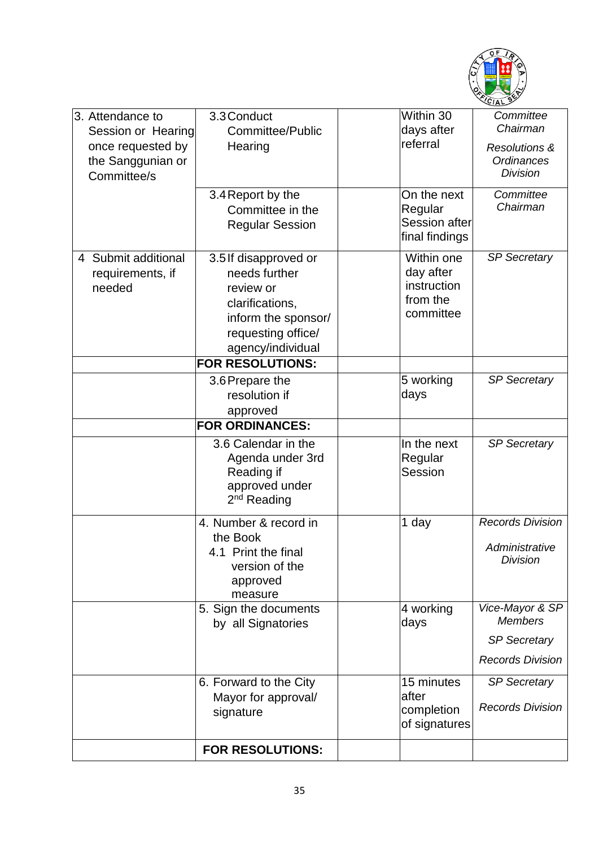

| 3. Attendance to<br>Session or Hearing<br>once requested by<br>the Sanggunian or<br>Committee/s | 3.3 Conduct<br>Committee/Public<br>Hearing                                                                                               | Within 30<br>days after<br>referral<br>On the next              | Committee<br>Chairman<br><b>Resolutions &amp;</b><br><b>Ordinances</b><br><b>Division</b><br>Committee |
|-------------------------------------------------------------------------------------------------|------------------------------------------------------------------------------------------------------------------------------------------|-----------------------------------------------------------------|--------------------------------------------------------------------------------------------------------|
|                                                                                                 | 3.4 Report by the<br>Committee in the<br><b>Regular Session</b>                                                                          | Regular<br>Session after<br>final findings                      | Chairman                                                                                               |
| 4 Submit additional<br>requirements, if<br>needed                                               | 3.5 If disapproved or<br>needs further<br>review or<br>clarifications,<br>inform the sponsor/<br>requesting office/<br>agency/individual | Within one<br>day after<br>instruction<br>from the<br>committee | <b>SP Secretary</b>                                                                                    |
|                                                                                                 | <b>FOR RESOLUTIONS:</b>                                                                                                                  |                                                                 |                                                                                                        |
|                                                                                                 | 3.6 Prepare the<br>resolution if<br>approved                                                                                             | 5 working<br>days                                               | <b>SP Secretary</b>                                                                                    |
|                                                                                                 | <b>FOR ORDINANCES:</b>                                                                                                                   |                                                                 |                                                                                                        |
|                                                                                                 | 3.6 Calendar in the<br>Agenda under 3rd<br>Reading if<br>approved under<br>$2nd$ Reading                                                 | In the next<br>Regular<br>Session                               | <b>SP Secretary</b>                                                                                    |
|                                                                                                 | 4. Number & record in<br>the Book<br>4.1 Print the final<br>version of the<br>approved<br>measure                                        | 1 day                                                           | <b>Records Division</b><br>Administrative<br><b>Division</b>                                           |
|                                                                                                 | 5. Sign the documents<br>by all Signatories                                                                                              | 4 working<br>days                                               | Vice-Mayor & SP<br><b>Members</b>                                                                      |
|                                                                                                 |                                                                                                                                          |                                                                 | <b>SP Secretary</b>                                                                                    |
|                                                                                                 |                                                                                                                                          |                                                                 | <b>Records Division</b>                                                                                |
|                                                                                                 | 6. Forward to the City<br>Mayor for approval/<br>signature                                                                               | 15 minutes<br>after<br>completion<br>of signatures              | <b>SP Secretary</b><br><b>Records Division</b>                                                         |
|                                                                                                 | <b>FOR RESOLUTIONS:</b>                                                                                                                  |                                                                 |                                                                                                        |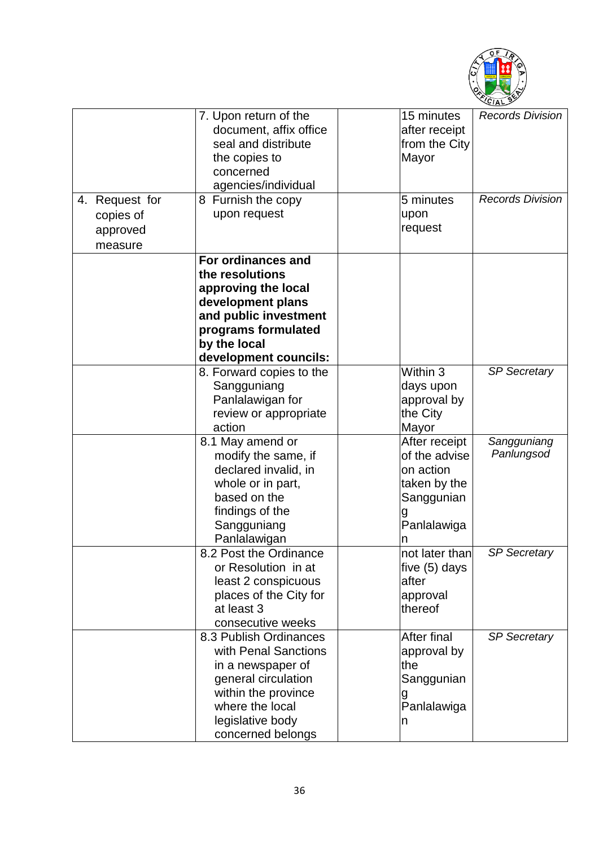

|                                                    | 7. Upon return of the<br>document, affix office<br>seal and distribute<br>the copies to<br>concerned | 15 minutes<br>after receipt<br>from the City<br>Mayor | <b>Records Division</b> |
|----------------------------------------------------|------------------------------------------------------------------------------------------------------|-------------------------------------------------------|-------------------------|
|                                                    | agencies/individual                                                                                  |                                                       |                         |
| 4. Request for<br>copies of<br>approved<br>measure | 8 Furnish the copy<br>upon request                                                                   | 5 minutes<br>upon<br>request                          | <b>Records Division</b> |
|                                                    | For ordinances and                                                                                   |                                                       |                         |
|                                                    | the resolutions                                                                                      |                                                       |                         |
|                                                    | approving the local                                                                                  |                                                       |                         |
|                                                    | development plans                                                                                    |                                                       |                         |
|                                                    | and public investment                                                                                |                                                       |                         |
|                                                    | programs formulated                                                                                  |                                                       |                         |
|                                                    | by the local                                                                                         |                                                       |                         |
|                                                    | development councils:                                                                                |                                                       |                         |
|                                                    | 8. Forward copies to the                                                                             | Within 3                                              | <b>SP Secretary</b>     |
|                                                    | Sangguniang<br>Panlalawigan for                                                                      | days upon<br>approval by                              |                         |
|                                                    | review or appropriate                                                                                | the City                                              |                         |
|                                                    | action                                                                                               | Mayor                                                 |                         |
|                                                    | 8.1 May amend or                                                                                     | After receipt                                         | Sangguniang             |
|                                                    | modify the same, if                                                                                  | of the advise                                         | Panlungsod              |
|                                                    | declared invalid, in                                                                                 | on action                                             |                         |
|                                                    | whole or in part,                                                                                    | taken by the                                          |                         |
|                                                    | based on the                                                                                         | Sanggunian                                            |                         |
|                                                    | findings of the                                                                                      |                                                       |                         |
|                                                    | Sangguniang                                                                                          | Panlalawiga                                           |                         |
|                                                    | Panlalawigan                                                                                         |                                                       |                         |
|                                                    | 8.2 Post the Ordinance                                                                               | not later than                                        | <b>SP Secretary</b>     |
|                                                    | or Resolution in at                                                                                  | five (5) days                                         |                         |
|                                                    | least 2 conspicuous                                                                                  | after                                                 |                         |
|                                                    | places of the City for<br>at least 3                                                                 | approval<br>thereof                                   |                         |
|                                                    | consecutive weeks                                                                                    |                                                       |                         |
|                                                    | 8.3 Publish Ordinances                                                                               | <b>After final</b>                                    | <b>SP Secretary</b>     |
|                                                    | with Penal Sanctions                                                                                 | approval by                                           |                         |
|                                                    | in a newspaper of                                                                                    | the                                                   |                         |
|                                                    | general circulation                                                                                  | Sanggunian                                            |                         |
|                                                    | within the province                                                                                  | g                                                     |                         |
|                                                    | where the local                                                                                      | Panlalawiga                                           |                         |
|                                                    | legislative body                                                                                     | n                                                     |                         |
|                                                    | concerned belongs                                                                                    |                                                       |                         |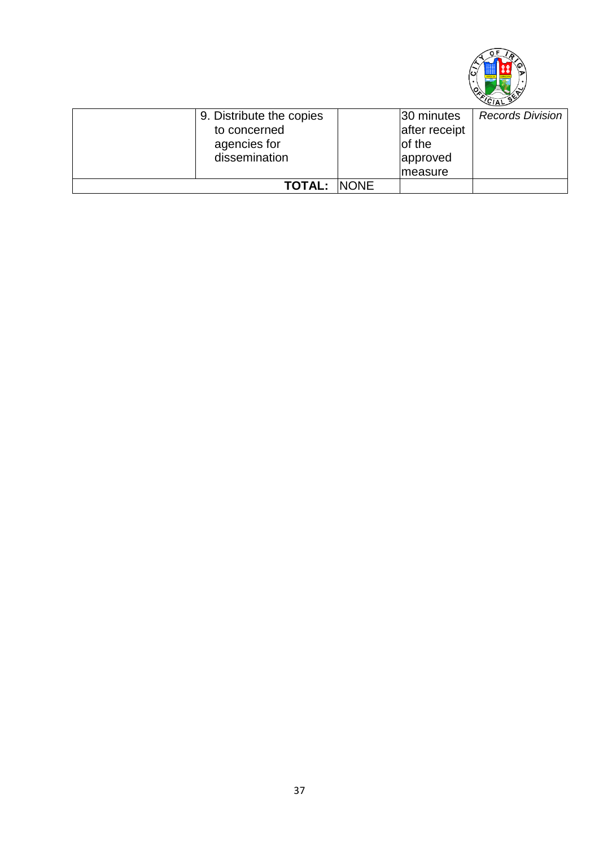

| 9. Distribute the copies | 30 minutes    | <b>Records Division</b> |
|--------------------------|---------------|-------------------------|
| to concerned             | after receipt |                         |
| agencies for             | of the        |                         |
| dissemination            | approved      |                         |
|                          | Imeasure      |                         |
| <b>TOTAL: INONE</b>      |               |                         |
|                          |               |                         |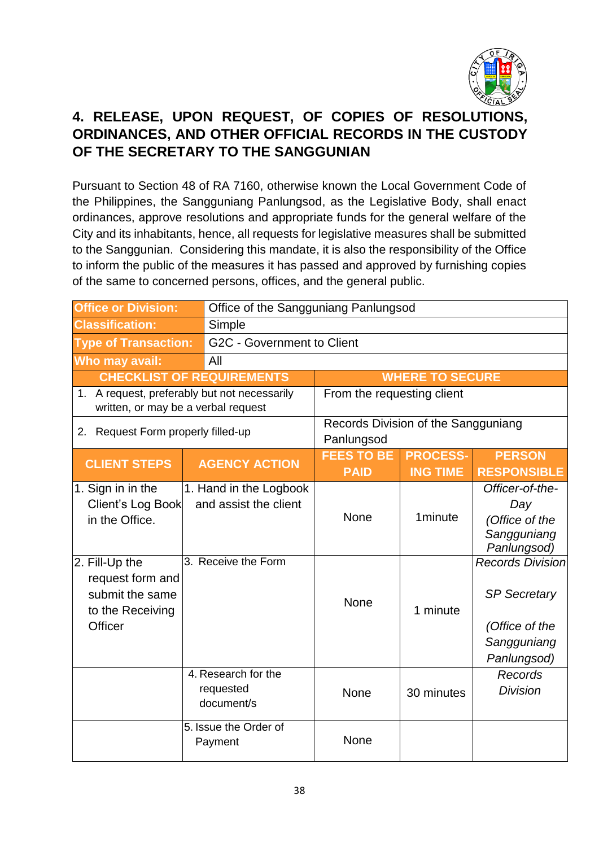

## **4. RELEASE, UPON REQUEST, OF COPIES OF RESOLUTIONS, ORDINANCES, AND OTHER OFFICIAL RECORDS IN THE CUSTODY OF THE SECRETARY TO THE SANGGUNIAN**

Pursuant to Section 48 of RA 7160, otherwise known the Local Government Code of the Philippines, the Sangguniang Panlungsod, as the Legislative Body, shall enact ordinances, approve resolutions and appropriate funds for the general welfare of the City and its inhabitants, hence, all requests for legislative measures shall be submitted to the Sanggunian. Considering this mandate, it is also the responsibility of the Office to inform the public of the measures it has passed and approved by furnishing copies of the same to concerned persons, offices, and the general public.

| <b>Office or Division:</b>                                                                                                                       |  | Office of the Sangguniang Panlungsod                                   |                                                   |                        |                                                                                                                                                                          |  |
|--------------------------------------------------------------------------------------------------------------------------------------------------|--|------------------------------------------------------------------------|---------------------------------------------------|------------------------|--------------------------------------------------------------------------------------------------------------------------------------------------------------------------|--|
| <b>Classification:</b>                                                                                                                           |  | Simple                                                                 |                                                   |                        |                                                                                                                                                                          |  |
| <b>Type of Transaction:</b>                                                                                                                      |  | G2C - Government to Client                                             |                                                   |                        |                                                                                                                                                                          |  |
| Who may avail:                                                                                                                                   |  | All                                                                    |                                                   |                        |                                                                                                                                                                          |  |
| <b>CHECKLIST OF REQUIREMENTS</b>                                                                                                                 |  |                                                                        |                                                   | <b>WHERE TO SECURE</b> |                                                                                                                                                                          |  |
| 1. A request, preferably but not necessarily<br>written, or may be a verbal request                                                              |  |                                                                        | From the requesting client                        |                        |                                                                                                                                                                          |  |
| 2. Request Form properly filled-up                                                                                                               |  |                                                                        | Records Division of the Sangguniang<br>Panlungsod |                        |                                                                                                                                                                          |  |
| <b>CLIENT STEPS</b>                                                                                                                              |  | <b>AGENCY ACTION</b>                                                   | <b>FEES TO BE</b>                                 | <b>PROCESS-</b>        | <b>PERSON</b>                                                                                                                                                            |  |
|                                                                                                                                                  |  |                                                                        | <b>PAID</b>                                       | <b>ING TIME</b>        | <b>RESPONSIBLE</b>                                                                                                                                                       |  |
| 1. Sign in in the<br>Client's Log Book<br>in the Office.<br>2. Fill-Up the<br>request form and<br>submit the same<br>to the Receiving<br>Officer |  | 1. Hand in the Logbook<br>and assist the client<br>3. Receive the Form | <b>None</b><br><b>None</b>                        | 1minute<br>1 minute    | Officer-of-the-<br>Day<br>(Office of the<br>Sangguniang<br>Panlungsod)<br><b>Records Division</b><br><b>SP Secretary</b><br>(Office of the<br>Sangguniang<br>Panlungsod) |  |
|                                                                                                                                                  |  | 4. Research for the<br>requested<br>document/s                         | <b>None</b>                                       | 30 minutes             | <b>Records</b><br><b>Division</b>                                                                                                                                        |  |
|                                                                                                                                                  |  | 5. Issue the Order of<br>Payment                                       | None                                              |                        |                                                                                                                                                                          |  |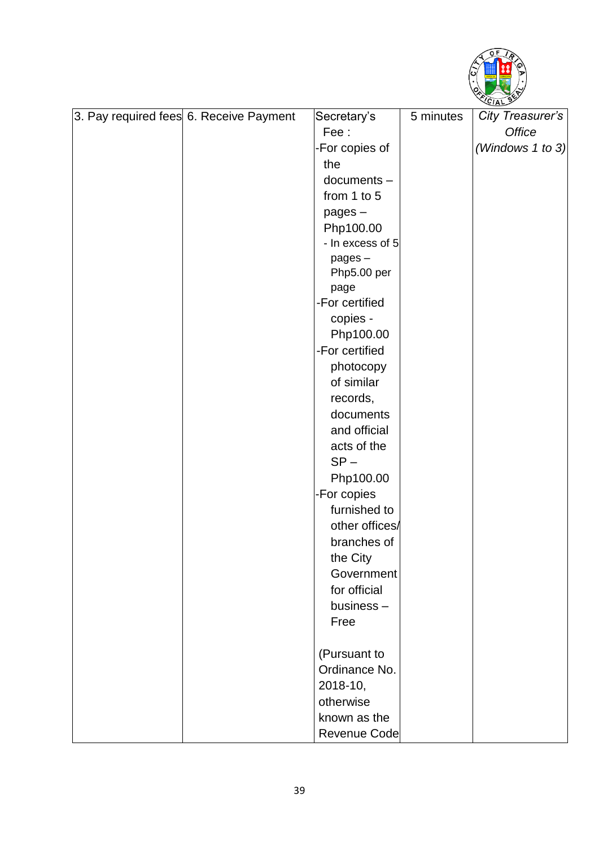

|  | 3. Pay required fees 6. Receive Payment | Secretary's      | 5 minutes | City Treasurer's |
|--|-----------------------------------------|------------------|-----------|------------------|
|  |                                         | Fee:             |           | Office           |
|  |                                         | -For copies of   |           | (Windows 1 to 3) |
|  |                                         | the              |           |                  |
|  |                                         | $documents -$    |           |                  |
|  |                                         | from 1 to 5      |           |                  |
|  |                                         | $pages -$        |           |                  |
|  |                                         | Php100.00        |           |                  |
|  |                                         | - In excess of 5 |           |                  |
|  |                                         | pages-           |           |                  |
|  |                                         | Php5.00 per      |           |                  |
|  |                                         | page             |           |                  |
|  |                                         | -For certified   |           |                  |
|  |                                         | copies -         |           |                  |
|  |                                         | Php100.00        |           |                  |
|  |                                         | -For certified   |           |                  |
|  |                                         | photocopy        |           |                  |
|  |                                         | of similar       |           |                  |
|  |                                         | records,         |           |                  |
|  |                                         | documents        |           |                  |
|  |                                         | and official     |           |                  |
|  |                                         | acts of the      |           |                  |
|  |                                         | $SP -$           |           |                  |
|  |                                         | Php100.00        |           |                  |
|  |                                         | -For copies      |           |                  |
|  |                                         | furnished to     |           |                  |
|  |                                         | other offices/   |           |                  |
|  |                                         | branches of      |           |                  |
|  |                                         | the City         |           |                  |
|  |                                         | Government       |           |                  |
|  |                                         | for official     |           |                  |
|  |                                         | business $-$     |           |                  |
|  |                                         | Free             |           |                  |
|  |                                         | (Pursuant to     |           |                  |
|  |                                         | Ordinance No.    |           |                  |
|  |                                         | 2018-10,         |           |                  |
|  |                                         | otherwise        |           |                  |
|  |                                         | known as the     |           |                  |
|  |                                         | Revenue Code     |           |                  |
|  |                                         |                  |           |                  |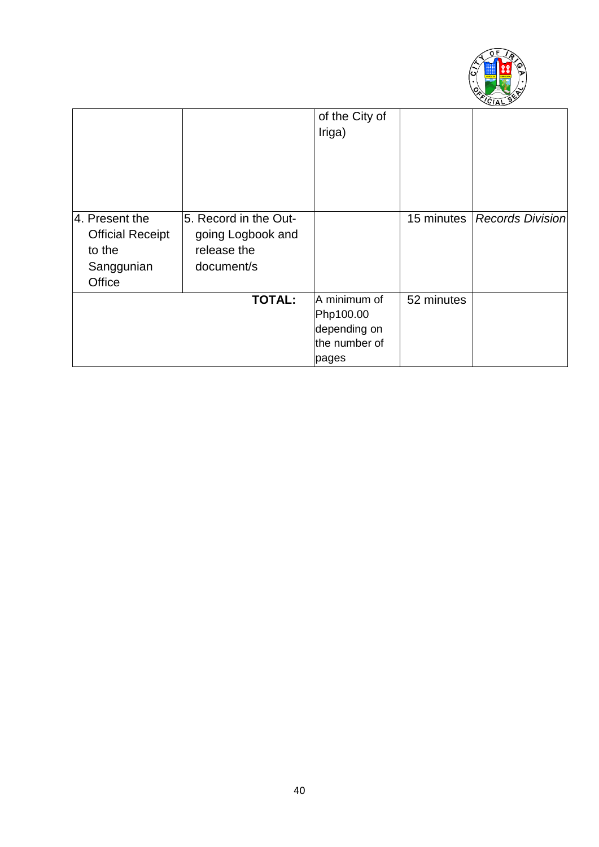

|                         |                       | of the City of<br>Iriga) |            |                         |
|-------------------------|-----------------------|--------------------------|------------|-------------------------|
|                         |                       |                          |            |                         |
|                         |                       |                          |            |                         |
|                         |                       |                          |            |                         |
| 4. Present the          | 5. Record in the Out- |                          | 15 minutes | <b>Records Division</b> |
| <b>Official Receipt</b> | going Logbook and     |                          |            |                         |
| to the                  | release the           |                          |            |                         |
| Sanggunian              | document/s            |                          |            |                         |
| Office                  |                       |                          |            |                         |
|                         | <b>TOTAL:</b>         | A minimum of             | 52 minutes |                         |
|                         |                       | Php100.00                |            |                         |
|                         |                       | depending on             |            |                         |
|                         |                       | the number of            |            |                         |
|                         |                       | pages                    |            |                         |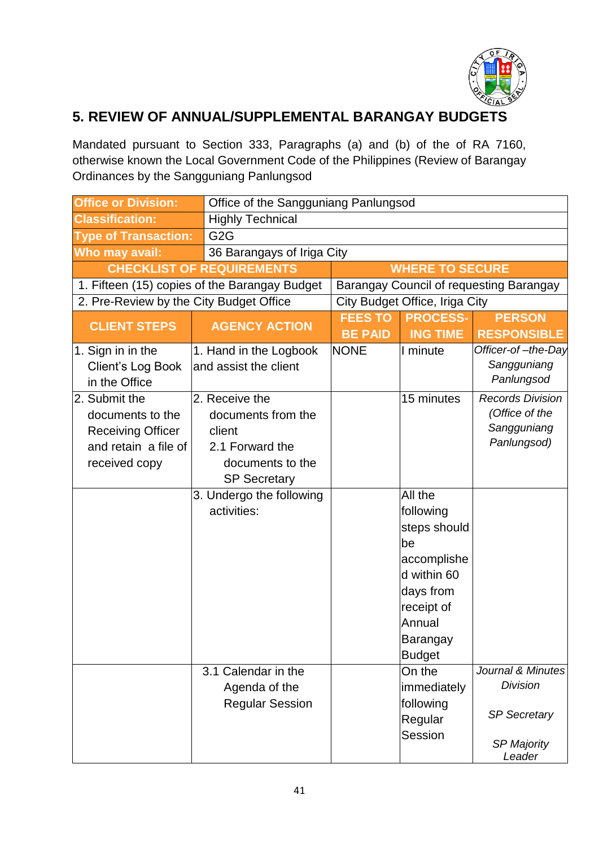

## **5. REVIEW OF ANNUAL/SUPPLEMENTAL BARANGAY BUDGETS**

Mandated pursuant to Section 333, Paragraphs (a) and (b) of the of RA 7160, otherwise known the Local Government Code of the Philippines (Review of Barangay Ordinances by the Sangguniang Panlungsod

| <b>Office or Division:</b>                                                                             | Office of the Sangguniang Panlungsod                                                                         |                                  |                                                                                                                                            |                                                                                             |
|--------------------------------------------------------------------------------------------------------|--------------------------------------------------------------------------------------------------------------|----------------------------------|--------------------------------------------------------------------------------------------------------------------------------------------|---------------------------------------------------------------------------------------------|
| <b>Classification:</b>                                                                                 | <b>Highly Technical</b>                                                                                      |                                  |                                                                                                                                            |                                                                                             |
| <b>Type of Transaction:</b>                                                                            | G <sub>2</sub> G                                                                                             |                                  |                                                                                                                                            |                                                                                             |
| Who may avail:                                                                                         | 36 Barangays of Iriga City                                                                                   |                                  |                                                                                                                                            |                                                                                             |
|                                                                                                        | <b>CHECKLIST OF REQUIREMENTS</b>                                                                             |                                  | <b>WHERE TO SECURE</b>                                                                                                                     |                                                                                             |
|                                                                                                        | 1. Fifteen (15) copies of the Barangay Budget                                                                |                                  |                                                                                                                                            | Barangay Council of requesting Barangay                                                     |
| 2. Pre-Review by the City Budget Office                                                                |                                                                                                              |                                  | City Budget Office, Iriga City                                                                                                             |                                                                                             |
| <b>CLIENT STEPS</b>                                                                                    | <b>AGENCY ACTION</b>                                                                                         | <b>FEES TO</b><br><b>BE PAID</b> | <b>PROCESS-</b><br><b>ING TIME</b>                                                                                                         | <b>PERSON</b><br><b>RESPONSIBLE</b>                                                         |
| 1. Sign in in the<br>Client's Log Book<br>in the Office                                                | 1. Hand in the Logbook<br>and assist the client                                                              | <b>NONE</b>                      | I minute                                                                                                                                   | Officer-of-the-Day<br>Sangguniang<br>Panlungsod                                             |
| 2. Submit the<br>documents to the<br><b>Receiving Officer</b><br>and retain a file of<br>received copy | 2. Receive the<br>documents from the<br>client<br>2.1 Forward the<br>documents to the<br><b>SP Secretary</b> |                                  | 15 minutes                                                                                                                                 | <b>Records Division</b><br>(Office of the<br>Sangguniang<br>Panlungsod)                     |
|                                                                                                        | 3. Undergo the following<br>activities:                                                                      |                                  | All the<br>following<br>steps should<br>be<br>accomplishe<br>d within 60<br>days from<br>receipt of<br>Annual<br>Barangay<br><b>Budget</b> |                                                                                             |
|                                                                                                        | 3.1 Calendar in the<br>Agenda of the<br><b>Regular Session</b>                                               |                                  | On the<br>immediately<br>following<br>Regular<br>Session                                                                                   | Journal & Minutes<br><b>Division</b><br><b>SP Secretary</b><br><b>SP Majority</b><br>Leader |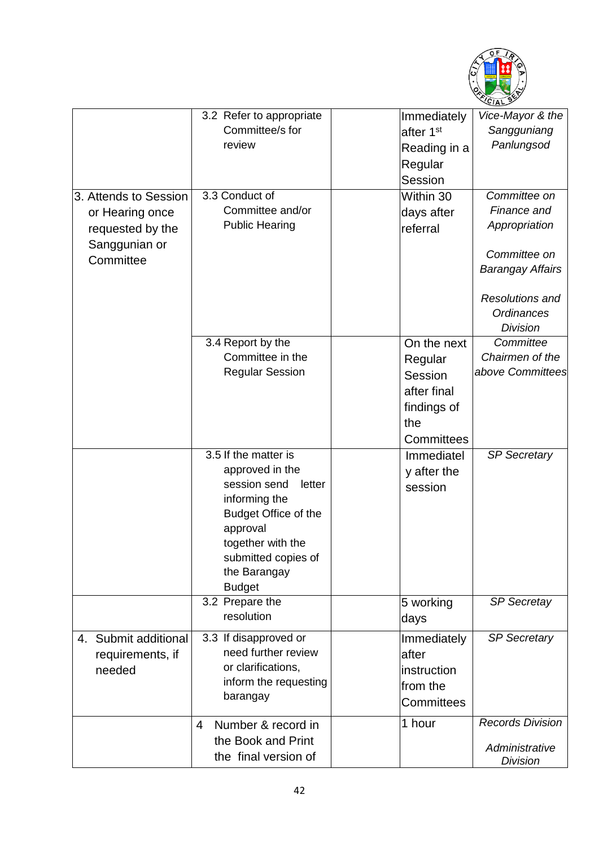

|                       | 3.2 Refer to appropriate    | Immediately           | Vice-Mayor & the        |
|-----------------------|-----------------------------|-----------------------|-------------------------|
|                       | Committee/s for             | after 1 <sup>st</sup> | Sangguniang             |
|                       | review                      | Reading in a          | Panlungsod              |
|                       |                             | Regular               |                         |
|                       |                             | Session               |                         |
| 3. Attends to Session | 3.3 Conduct of              | Within 30             | Committee on            |
| or Hearing once       | Committee and/or            | days after            | Finance and             |
| requested by the      | <b>Public Hearing</b>       | referral              | Appropriation           |
| Sanggunian or         |                             |                       |                         |
| Committee             |                             |                       | Committee on            |
|                       |                             |                       | <b>Barangay Affairs</b> |
|                       |                             |                       |                         |
|                       |                             |                       | <b>Resolutions and</b>  |
|                       |                             |                       | Ordinances              |
|                       |                             |                       | <b>Division</b>         |
|                       | 3.4 Report by the           | On the next           | Committee               |
|                       | Committee in the            | Regular               | Chairmen of the         |
|                       | <b>Regular Session</b>      | Session               | above Committees        |
|                       |                             | after final           |                         |
|                       |                             | findings of           |                         |
|                       |                             | the                   |                         |
|                       |                             | Committees            |                         |
|                       | 3.5 If the matter is        | Immediatel            | <b>SP Secretary</b>     |
|                       | approved in the             | y after the           |                         |
|                       | session send<br>letter      | session               |                         |
|                       | informing the               |                       |                         |
|                       | <b>Budget Office of the</b> |                       |                         |
|                       | approval                    |                       |                         |
|                       | together with the           |                       |                         |
|                       | submitted copies of         |                       |                         |
|                       | the Barangay                |                       |                         |
|                       | <b>Budget</b>               |                       |                         |
|                       | 3.2 Prepare the             | 5 working             | <b>SP Secretay</b>      |
|                       | resolution                  | days                  |                         |
| 4. Submit additional  | 3.3 If disapproved or       | Immediately           | <b>SP Secretary</b>     |
| requirements, if      | need further review         | after                 |                         |
| needed                | or clarifications,          | instruction           |                         |
|                       | inform the requesting       | from the              |                         |
|                       | barangay                    | Committees            |                         |
|                       |                             | 1 hour                | <b>Records Division</b> |
|                       | Number & record in<br>4     |                       |                         |
|                       | the Book and Print          |                       | Administrative          |
|                       | the final version of        |                       | <b>Division</b>         |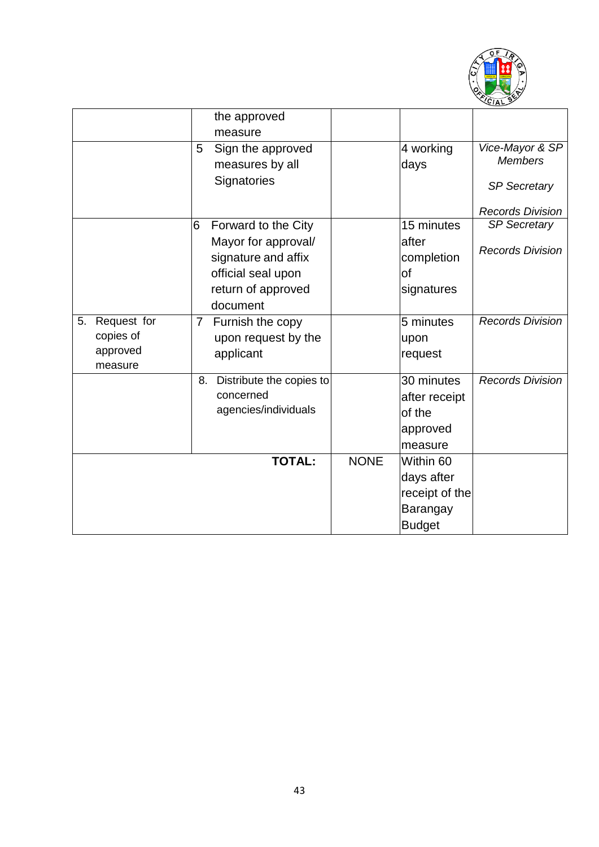

|    |                                                 |    | the approved<br>measure                                       |             |                                                              |                                                          |
|----|-------------------------------------------------|----|---------------------------------------------------------------|-------------|--------------------------------------------------------------|----------------------------------------------------------|
|    |                                                 | 5  | Sign the approved<br>measures by all<br>Signatories           |             | 4 working<br>days                                            | Vice-Mayor & SP<br><b>Members</b><br><b>SP Secretary</b> |
|    |                                                 |    |                                                               |             |                                                              | <b>Records Division</b>                                  |
|    |                                                 | 6  | Forward to the City                                           |             | 15 minutes                                                   | <b>SP Secretary</b>                                      |
|    |                                                 |    | Mayor for approval/<br>signature and affix                    |             | lafter<br>completion                                         | <b>Records Division</b>                                  |
|    |                                                 |    | official seal upon                                            |             | of                                                           |                                                          |
|    |                                                 |    | return of approved                                            |             | signatures                                                   |                                                          |
|    |                                                 |    | document                                                      |             |                                                              |                                                          |
| 5. | Request for<br>copies of<br>approved<br>measure | 7  | Furnish the copy<br>upon request by the<br>applicant          |             | 5 minutes<br>upon<br>request                                 | <b>Records Division</b>                                  |
|    |                                                 | 8. | Distribute the copies to<br>concerned<br>agencies/individuals |             | 30 minutes<br>after receipt<br>of the<br>approved<br>measure | <b>Records Division</b>                                  |
|    |                                                 |    | <b>TOTAL:</b>                                                 | <b>NONE</b> | Within 60                                                    |                                                          |
|    |                                                 |    |                                                               |             | days after                                                   |                                                          |
|    |                                                 |    |                                                               |             | receipt of the                                               |                                                          |
|    |                                                 |    |                                                               |             | Barangay                                                     |                                                          |
|    |                                                 |    |                                                               |             | <b>Budget</b>                                                |                                                          |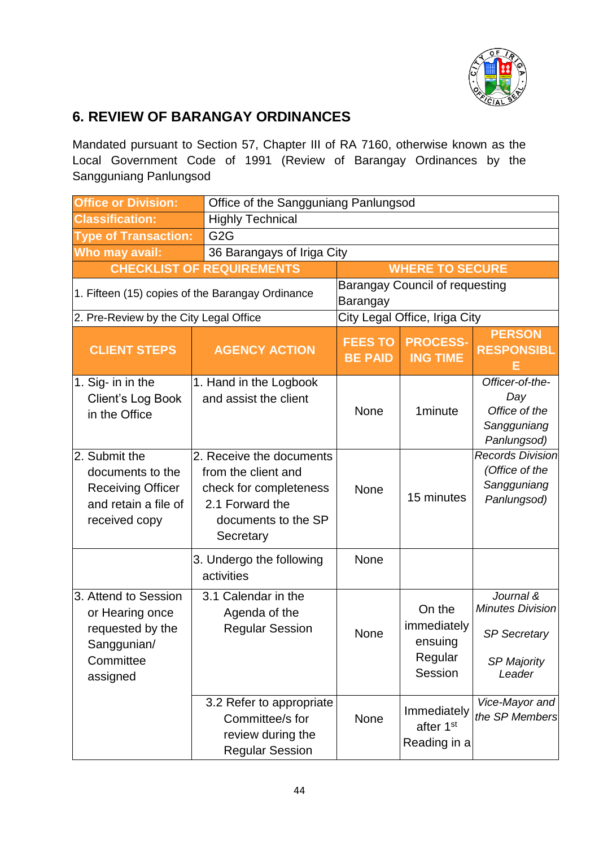

## **6. REVIEW OF BARANGAY ORDINANCES**

Mandated pursuant to Section 57, Chapter III of RA 7160, otherwise known as the Local Government Code of 1991 (Review of Barangay Ordinances by the Sangguniang Panlungsod

| <b>Office or Division:</b>                                                                             |                                                                                                                                  | Office of the Sangguniang Panlungsod |                                                        |                                                                                             |  |
|--------------------------------------------------------------------------------------------------------|----------------------------------------------------------------------------------------------------------------------------------|--------------------------------------|--------------------------------------------------------|---------------------------------------------------------------------------------------------|--|
| <b>Classification:</b>                                                                                 | <b>Highly Technical</b>                                                                                                          |                                      |                                                        |                                                                                             |  |
| <b>Type of Transaction:</b>                                                                            | G <sub>2</sub> G                                                                                                                 |                                      |                                                        |                                                                                             |  |
| Who may avail:                                                                                         | 36 Barangays of Iriga City                                                                                                       |                                      |                                                        |                                                                                             |  |
| <b>CHECKLIST OF REQUIREMENTS</b>                                                                       |                                                                                                                                  | <b>WHERE TO SECURE</b>               |                                                        |                                                                                             |  |
|                                                                                                        | 1. Fifteen (15) copies of the Barangay Ordinance                                                                                 | Barangay                             | <b>Barangay Council of requesting</b>                  |                                                                                             |  |
| 2. Pre-Review by the City Legal Office                                                                 |                                                                                                                                  |                                      | City Legal Office, Iriga City                          |                                                                                             |  |
| <b>CLIENT STEPS</b>                                                                                    | <b>AGENCY ACTION</b>                                                                                                             | <b>FEES TO</b><br><b>BE PAID</b>     | <b>PROCESS-</b><br><b>ING TIME</b>                     | <b>PERSON</b><br><b>RESPONSIBL</b>                                                          |  |
| 1. Sig- in in the<br>Client's Log Book<br>in the Office                                                | 1. Hand in the Logbook<br>and assist the client                                                                                  | None                                 | 1minute                                                | Officer-of-the-<br>Day<br>Office of the<br>Sangguniang<br>Panlungsod)                       |  |
| 2. Submit the<br>documents to the<br><b>Receiving Officer</b><br>and retain a file of<br>received copy | 2. Receive the documents<br>from the client and<br>check for completeness<br>2.1 Forward the<br>documents to the SP<br>Secretary | None                                 | 15 minutes                                             | <b>Records Division</b><br>(Office of the<br>Sangguniang<br>Panlungsod)                     |  |
|                                                                                                        | 3. Undergo the following<br>activities                                                                                           | None                                 |                                                        |                                                                                             |  |
| 3. Attend to Session<br>or Hearing once<br>requested by the<br>Sanggunian/<br>Committee<br>assigned    | 3.1 Calendar in the<br>Agenda of the<br><b>Regular Session</b>                                                                   | None                                 | On the<br>immediately<br>ensuing<br>Regular<br>Session | Journal &<br><b>Minutes Division</b><br><b>SP Secretary</b><br><b>SP Majority</b><br>Leader |  |
|                                                                                                        | 3.2 Refer to appropriate<br>Committee/s for<br>review during the<br><b>Regular Session</b>                                       | None                                 | Immediately<br>after 1 <sup>st</sup><br>Reading in a   | Vice-Mayor and<br>the SP Members                                                            |  |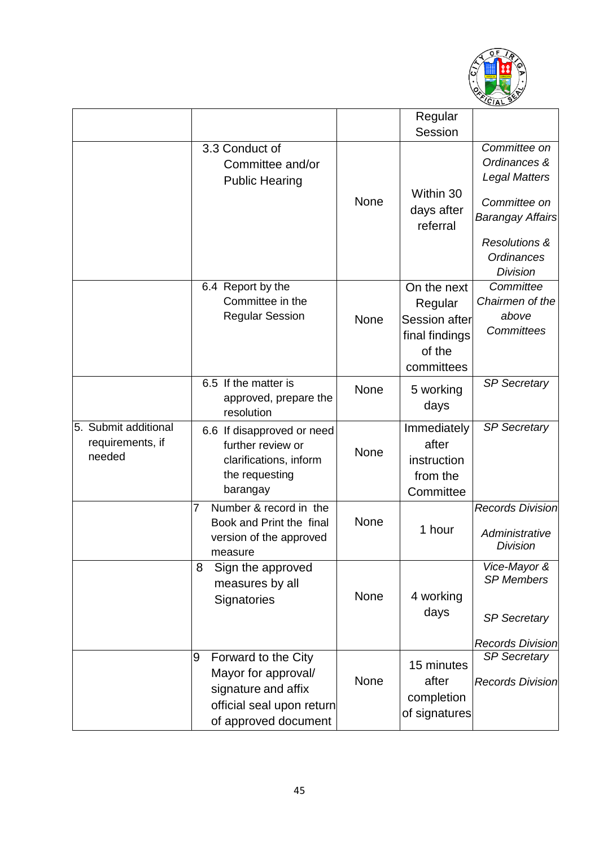

|                                                    |                                                                                                                             |             | Regular<br>Session                                                                |                                                                                                                                                                     |
|----------------------------------------------------|-----------------------------------------------------------------------------------------------------------------------------|-------------|-----------------------------------------------------------------------------------|---------------------------------------------------------------------------------------------------------------------------------------------------------------------|
|                                                    | 3.3 Conduct of<br>Committee and/or<br><b>Public Hearing</b>                                                                 | <b>None</b> | Within 30<br>days after<br>referral                                               | Committee on<br>Ordinances &<br><b>Legal Matters</b><br>Committee on<br><b>Barangay Affairs</b><br><b>Resolutions &amp;</b><br><b>Ordinances</b><br><b>Division</b> |
|                                                    | 6.4 Report by the<br>Committee in the<br><b>Regular Session</b>                                                             | None        | On the next<br>Regular<br>Session after<br>final findings<br>of the<br>committees | Committee<br>Chairmen of the<br>above<br><b>Committees</b>                                                                                                          |
|                                                    | 6.5 If the matter is<br>approved, prepare the<br>resolution                                                                 | <b>None</b> | 5 working<br>days                                                                 | <b>SP Secretary</b>                                                                                                                                                 |
| 5. Submit additional<br>requirements, if<br>needed | 6.6 If disapproved or need<br>further review or<br>clarifications, inform<br>the requesting<br>barangay                     | None        | Immediately<br>after<br>instruction<br>from the<br>Committee                      | <b>SP Secretary</b>                                                                                                                                                 |
|                                                    | Number & record in the<br>7<br>Book and Print the final<br>version of the approved<br>measure                               | None        | 1 hour                                                                            | <b>Records Division</b><br>Administrative<br><b>Division</b>                                                                                                        |
|                                                    | 8<br>Sign the approved<br>measures by all<br>Signatories                                                                    | None        | 4 working<br>days                                                                 | Vice-Mayor &<br><b>SP Members</b><br><b>SP Secretary</b><br><b>Records Division</b>                                                                                 |
|                                                    | 9<br>Forward to the City<br>Mayor for approval/<br>signature and affix<br>official seal upon return<br>of approved document | None        | 15 minutes<br>after<br>completion<br>of signatures                                | <b>SP Secretary</b><br><b>Records Division</b>                                                                                                                      |